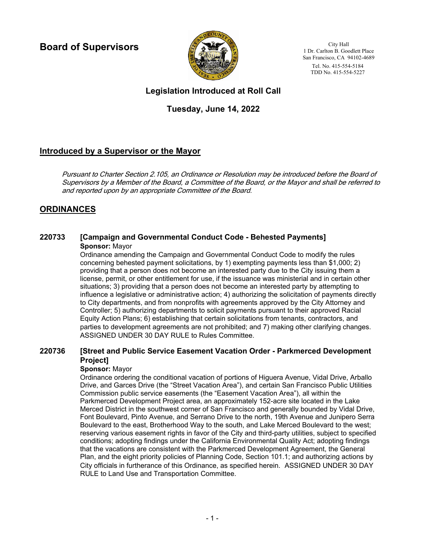**Board of Supervisors**



City Hall 1 Dr. Carlton B. Goodlett Place San Francisco, CA 94102-4689 Tel. No. 415-554-5184 TDD No. 415-554-5227

# **Legislation Introduced at Roll Call**

# **Tuesday, June 14, 2022**

# **Introduced by a Supervisor or the Mayor**

Pursuant to Charter Section 2.105, an Ordinance or Resolution may be introduced before the Board of Supervisors by a Member of the Board, a Committee of the Board, or the Mayor and shall be referred to and reported upon by an appropriate Committee of the Board.

# **ORDINANCES**

### **220733 [Campaign and Governmental Conduct Code - Behested Payments] Sponsor:** Mayor

Ordinance amending the Campaign and Governmental Conduct Code to modify the rules concerning behested payment solicitations, by 1) exempting payments less than \$1,000; 2) providing that a person does not become an interested party due to the City issuing them a license, permit, or other entitlement for use, if the issuance was ministerial and in certain other situations; 3) providing that a person does not become an interested party by attempting to influence a legislative or administrative action; 4) authorizing the solicitation of payments directly to City departments, and from nonprofits with agreements approved by the City Attorney and Controller; 5) authorizing departments to solicit payments pursuant to their approved Racial Equity Action Plans; 6) establishing that certain solicitations from tenants, contractors, and parties to development agreements are not prohibited; and 7) making other clarifying changes. ASSIGNED UNDER 30 DAY RULE to Rules Committee.

#### **[Street and Public Service Easement Vacation Order - Parkmerced Development Project] 220736**

### **Sponsor:** Mayor

Ordinance ordering the conditional vacation of portions of Higuera Avenue, Vidal Drive, Arballo Drive, and Garces Drive (the "Street Vacation Area"), and certain San Francisco Public Utilities Commission public service easements (the "Easement Vacation Area"), all within the Parkmerced Development Project area, an approximately 152-acre site located in the Lake Merced District in the southwest corner of San Francisco and generally bounded by Vidal Drive, Font Boulevard, Pinto Avenue, and Serrano Drive to the north, 19th Avenue and Junipero Serra Boulevard to the east, Brotherhood Way to the south, and Lake Merced Boulevard to the west; reserving various easement rights in favor of the City and third-party utilities, subject to specified conditions; adopting findings under the California Environmental Quality Act; adopting findings that the vacations are consistent with the Parkmerced Development Agreement, the General Plan, and the eight priority policies of Planning Code, Section 101.1; and authorizing actions by City officials in furtherance of this Ordinance, as specified herein. ASSIGNED UNDER 30 DAY RULE to Land Use and Transportation Committee.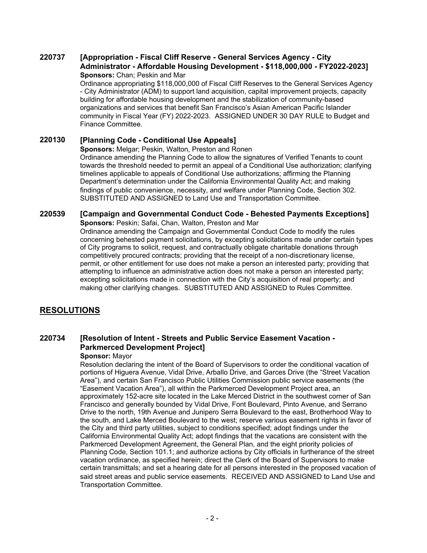#### **[Appropriation - Fiscal Cliff Reserve - General Services Agency - City Administrator - Affordable Housing Development - \$118,000,000 - FY2022-2023] 220737 Sponsors:** Chan; Peskin and Mar

Ordinance appropriating \$118,000,000 of Fiscal Cliff Reserves to the General Services Agency - City Administrator (ADM) to support land acquisition, capital improvement projects, capacity building for affordable housing development and the stabilization of community-based organizations and services that benefit San Francisco's Asian American Pacific Islander community in Fiscal Year (FY) 2022-2023. ASSIGNED UNDER 30 DAY RULE to Budget and Finance Committee.

## **220130 [Planning Code - Conditional Use Appeals]**

**Sponsors:** Melgar; Peskin, Walton, Preston and Ronen

Ordinance amending the Planning Code to allow the signatures of Verified Tenants to count towards the threshold needed to permit an appeal of a Conditional Use authorization; clarifying timelines applicable to appeals of Conditional Use authorizations; affirming the Planning Department's determination under the California Environmental Quality Act; and making findings of public convenience, necessity, and welfare under Planning Code, Section 302. SUBSTITUTED AND ASSIGNED to Land Use and Transportation Committee.

# **220539 [Campaign and Governmental Conduct Code - Behested Payments Exceptions]**

**Sponsors:** Peskin; Safai, Chan, Walton, Preston and Mar

Ordinance amending the Campaign and Governmental Conduct Code to modify the rules concerning behested payment solicitations, by excepting solicitations made under certain types of City programs to solicit, request, and contractually obligate charitable donations through competitively procured contracts; providing that the receipt of a non-discretionary license, permit, or other entitlement for use does not make a person an interested party; providing that attempting to influence an administrative action does not make a person an interested party; excepting solicitations made in connection with the City's acquisition of real property; and making other clarifying changes. SUBSTITUTED AND ASSIGNED to Rules Committee.

# **RESOLUTIONS**

#### **[Resolution of Intent - Streets and Public Service Easement Vacation - Parkmerced Development Project] 220734**

### **Sponsor:** Mayor

Resolution declaring the intent of the Board of Supervisors to order the conditional vacation of portions of Higuera Avenue, Vidal Drive, Arballo Drive, and Garces Drive (the "Street Vacation Area"), and certain San Francisco Public Utilities Commission public service easements (the "Easement Vacation Area"), all within the Parkmerced Development Project area, an approximately 152-acre site located in the Lake Merced District in the southwest corner of San Francisco and generally bounded by Vidal Drive, Font Boulevard, Pinto Avenue, and Serrano Drive to the north, 19th Avenue and Junipero Serra Boulevard to the east, Brotherhood Way to the south, and Lake Merced Boulevard to the west; reserve various easement rights in favor of the City and third party utilities, subject to conditions specified; adopt findings under the California Environmental Quality Act; adopt findings that the vacations are consistent with the Parkmerced Development Agreement, the General Plan, and the eight priority policies of Planning Code, Section 101.1; and authorize actions by City officials in furtherance of the street vacation ordinance, as specified herein; direct the Clerk of the Board of Supervisors to make certain transmittals; and set a hearing date for all persons interested in the proposed vacation of said street areas and public service easements. RECEIVED AND ASSIGNED to Land Use and Transportation Committee.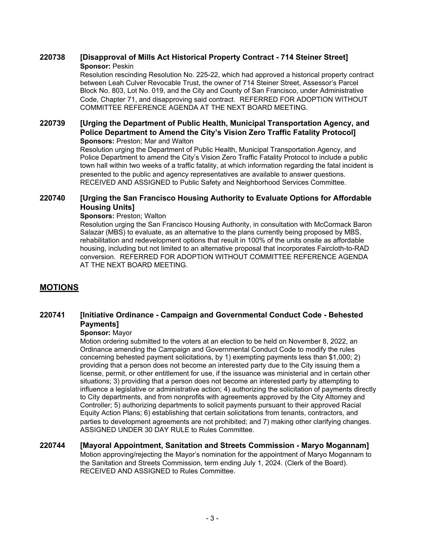## **220738 [Disapproval of Mills Act Historical Property Contract - 714 Steiner Street] Sponsor:** Peskin

Resolution rescinding Resolution No. 225-22, which had approved a historical property contract between Leah Culver Revocable Trust, the owner of 714 Steiner Street, Assessor's Parcel Block No. 803, Lot No. 019, and the City and County of San Francisco, under Administrative Code, Chapter 71, and disapproving said contract. REFERRED FOR ADOPTION WITHOUT COMMITTEE REFERENCE AGENDA AT THE NEXT BOARD MEETING.

#### **[Urging the Department of Public Health, Municipal Transportation Agency, and Police Department to Amend the City's Vision Zero Traffic Fatality Protocol] 220739 Sponsors: Preston; Mar and Walton**

Resolution urging the Department of Public Health, Municipal Transportation Agency, and Police Department to amend the City's Vision Zero Traffic Fatality Protocol to include a public town hall within two weeks of a traffic fatality, at which information regarding the fatal incident is presented to the public and agency representatives are available to answer questions. RECEIVED AND ASSIGNED to Public Safety and Neighborhood Services Committee.

#### **[Urging the San Francisco Housing Authority to Evaluate Options for Affordable Housing Units] 220740**

### **Sponsors: Preston; Walton**

Resolution urging the San Francisco Housing Authority, in consultation with McCormack Baron Salazar (MBS) to evaluate, as an alternative to the plans currently being proposed by MBS, rehabilitation and redevelopment options that result in 100% of the units onsite as affordable housing, including but not limited to an alternative proposal that incorporates Faircloth-to-RAD conversion. REFERRED FOR ADOPTION WITHOUT COMMITTEE REFERENCE AGENDA AT THE NEXT BOARD MEETING.

# **MOTIONS**

#### **[Initiative Ordinance - Campaign and Governmental Conduct Code - Behested Payments] 220741**

### **Sponsor:** Mayor

Motion ordering submitted to the voters at an election to be held on November 8, 2022, an Ordinance amending the Campaign and Governmental Conduct Code to modify the rules concerning behested payment solicitations, by 1) exempting payments less than \$1,000; 2) providing that a person does not become an interested party due to the City issuing them a license, permit, or other entitlement for use, if the issuance was ministerial and in certain other situations; 3) providing that a person does not become an interested party by attempting to influence a legislative or administrative action; 4) authorizing the solicitation of payments directly to City departments, and from nonprofits with agreements approved by the City Attorney and Controller; 5) authorizing departments to solicit payments pursuant to their approved Racial Equity Action Plans; 6) establishing that certain solicitations from tenants, contractors, and parties to development agreements are not prohibited; and 7) making other clarifying changes. ASSIGNED UNDER 30 DAY RULE to Rules Committee.

### **220744 [Mayoral Appointment, Sanitation and Streets Commission - Maryo Mogannam]** Motion approving/rejecting the Mayor's nomination for the appointment of Maryo Mogannam to the Sanitation and Streets Commission, term ending July 1, 2024. (Clerk of the Board). RECEIVED AND ASSIGNED to Rules Committee.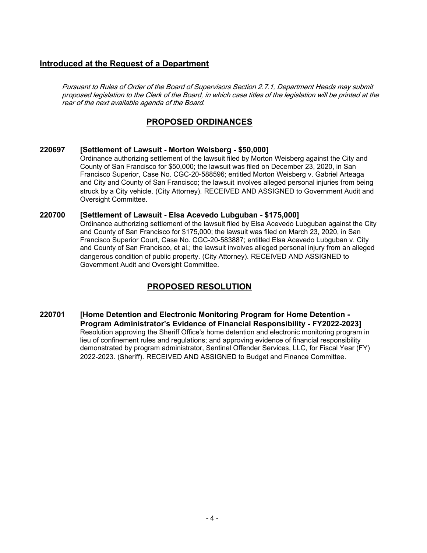# **Introduced at the Request of a Department**

Pursuant to Rules of Order of the Board of Supervisors Section 2.7.1, Department Heads may submit proposed legislation to the Clerk of the Board, in which case titles of the legislation will be printed at the rear of the next available agenda of the Board.

# **PROPOSED ORDINANCES**

### **220697 [Settlement of Lawsuit - Morton Weisberg - \$50,000]**

Ordinance authorizing settlement of the lawsuit filed by Morton Weisberg against the City and County of San Francisco for \$50,000; the lawsuit was filed on December 23, 2020, in San Francisco Superior, Case No. CGC-20-588596; entitled Morton Weisberg v. Gabriel Arteaga and City and County of San Francisco; the lawsuit involves alleged personal injuries from being struck by a City vehicle. (City Attorney). RECEIVED AND ASSIGNED to Government Audit and Oversight Committee.

## **220700 [Settlement of Lawsuit - Elsa Acevedo Lubguban - \$175,000]**

Ordinance authorizing settlement of the lawsuit filed by Elsa Acevedo Lubguban against the City and County of San Francisco for \$175,000; the lawsuit was filed on March 23, 2020, in San Francisco Superior Court, Case No. CGC-20-583887; entitled Elsa Acevedo Lubguban v. City and County of San Francisco, et al.; the lawsuit involves alleged personal injury from an alleged dangerous condition of public property. (City Attorney). RECEIVED AND ASSIGNED to Government Audit and Oversight Committee.

# **PROPOSED RESOLUTION**

**[Home Detention and Electronic Monitoring Program for Home Detention - Program Administrator's Evidence of Financial Responsibility - FY2022-2023] 220701** Resolution approving the Sheriff Office's home detention and electronic monitoring program in lieu of confinement rules and regulations; and approving evidence of financial responsibility demonstrated by program administrator, Sentinel Offender Services, LLC, for Fiscal Year (FY) 2022-2023. (Sheriff). RECEIVED AND ASSIGNED to Budget and Finance Committee.